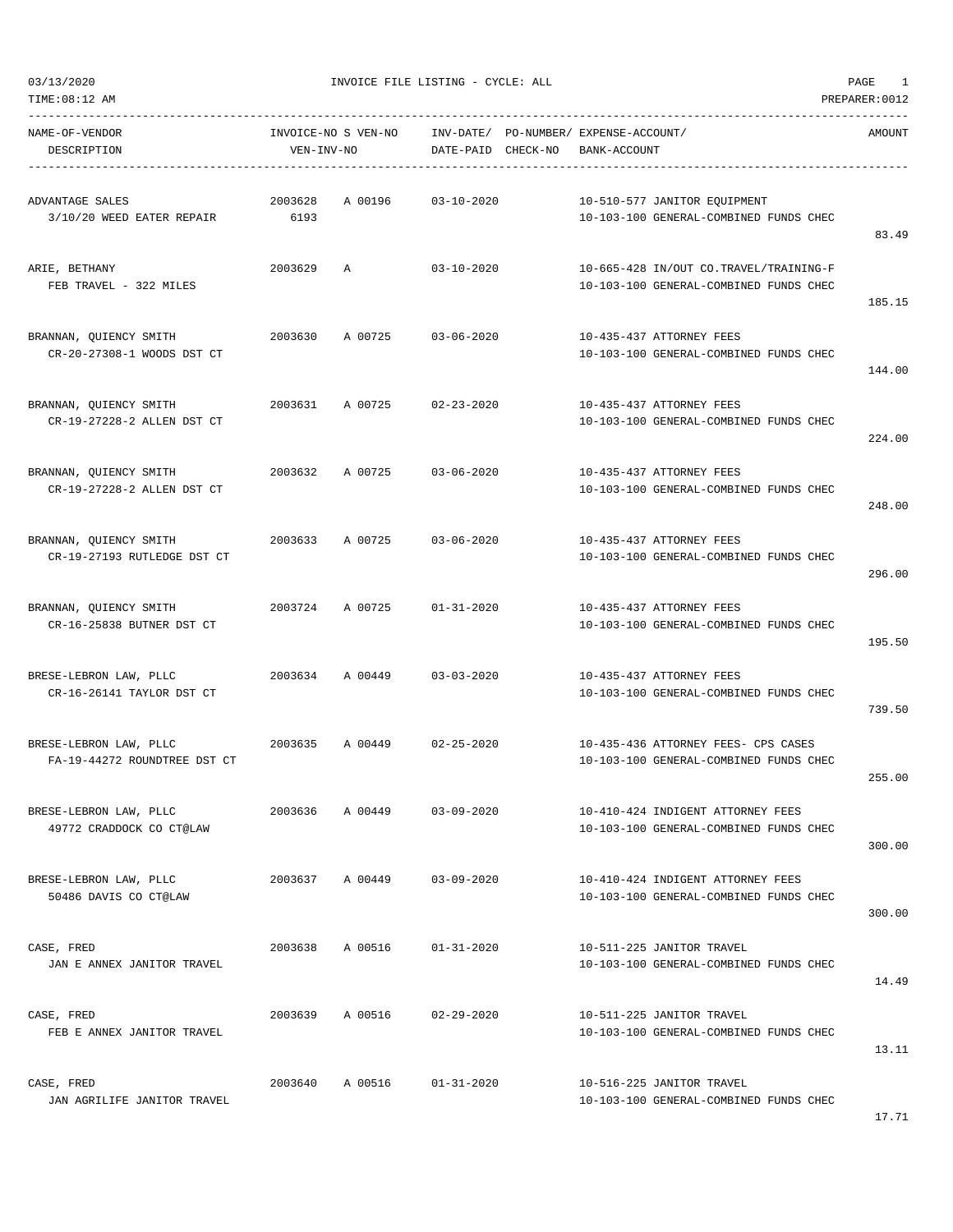TIME:08:12 AM PREPARER:0012

 $03/13/2020$  PAGE 1

| ------------<br>NAME-OF-VENDOR<br>DESCRIPTION          | VEN-INV-NO      | INVOICE-NO S VEN-NO | DATE-PAID CHECK-NO | INV-DATE/ PO-NUMBER/ EXPENSE-ACCOUNT/<br>BANK-ACCOUNT |                                                                                  | AMOUNT |
|--------------------------------------------------------|-----------------|---------------------|--------------------|-------------------------------------------------------|----------------------------------------------------------------------------------|--------|
| ADVANTAGE SALES<br>3/10/20 WEED EATER REPAIR           | 2003628<br>6193 | A 00196             | $03 - 10 - 2020$   |                                                       | 10-510-577 JANITOR EQUIPMENT<br>10-103-100 GENERAL-COMBINED FUNDS CHEC           | 83.49  |
| ARIE, BETHANY<br>FEB TRAVEL - 322 MILES                | 2003629         | $\mathbb{A}$        | $03 - 10 - 2020$   |                                                       | 10-665-428 IN/OUT CO.TRAVEL/TRAINING-F<br>10-103-100 GENERAL-COMBINED FUNDS CHEC | 185.15 |
| BRANNAN, QUIENCY SMITH<br>CR-20-27308-1 WOODS DST CT   | 2003630         | A 00725             | $03 - 06 - 2020$   |                                                       | 10-435-437 ATTORNEY FEES<br>10-103-100 GENERAL-COMBINED FUNDS CHEC               | 144.00 |
| BRANNAN, QUIENCY SMITH<br>CR-19-27228-2 ALLEN DST CT   | 2003631         | A 00725             | $02 - 23 - 2020$   |                                                       | 10-435-437 ATTORNEY FEES<br>10-103-100 GENERAL-COMBINED FUNDS CHEC               | 224.00 |
| BRANNAN, QUIENCY SMITH<br>CR-19-27228-2 ALLEN DST CT   | 2003632         | A 00725             | $03 - 06 - 2020$   |                                                       | 10-435-437 ATTORNEY FEES<br>10-103-100 GENERAL-COMBINED FUNDS CHEC               | 248.00 |
| BRANNAN, OUIENCY SMITH<br>CR-19-27193 RUTLEDGE DST CT  | 2003633         | A 00725             | $03 - 06 - 2020$   |                                                       | 10-435-437 ATTORNEY FEES<br>10-103-100 GENERAL-COMBINED FUNDS CHEC               | 296.00 |
| BRANNAN, QUIENCY SMITH<br>CR-16-25838 BUTNER DST CT    | 2003724         | A 00725             | $01 - 31 - 2020$   |                                                       | 10-435-437 ATTORNEY FEES<br>10-103-100 GENERAL-COMBINED FUNDS CHEC               | 195.50 |
| BRESE-LEBRON LAW, PLLC<br>CR-16-26141 TAYLOR DST CT    |                 | 2003634 A 00449     | $03 - 03 - 2020$   |                                                       | 10-435-437 ATTORNEY FEES<br>10-103-100 GENERAL-COMBINED FUNDS CHEC               | 739.50 |
| BRESE-LEBRON LAW, PLLC<br>FA-19-44272 ROUNDTREE DST CT | 2003635         | A 00449             | $02 - 25 - 2020$   |                                                       | 10-435-436 ATTORNEY FEES- CPS CASES<br>10-103-100 GENERAL-COMBINED FUNDS CHEC    | 255.00 |
| BRESE-LEBRON LAW, PLLC<br>49772 CRADDOCK CO CT@LAW     | 2003636         | A 00449             | $03 - 09 - 2020$   |                                                       | 10-410-424 INDIGENT ATTORNEY FEES<br>10-103-100 GENERAL-COMBINED FUNDS CHEC      | 300.00 |
| BRESE-LEBRON LAW, PLLC<br>50486 DAVIS CO CT@LAW        | 2003637         | A 00449             | $03 - 09 - 2020$   |                                                       | 10-410-424 INDIGENT ATTORNEY FEES<br>10-103-100 GENERAL-COMBINED FUNDS CHEC      | 300.00 |
| CASE, FRED<br>JAN E ANNEX JANITOR TRAVEL               | 2003638         | A 00516             | $01 - 31 - 2020$   |                                                       | 10-511-225 JANITOR TRAVEL<br>10-103-100 GENERAL-COMBINED FUNDS CHEC              | 14.49  |
| CASE, FRED<br>FEB E ANNEX JANITOR TRAVEL               | 2003639         | A 00516             | $02 - 29 - 2020$   |                                                       | 10-511-225 JANITOR TRAVEL<br>10-103-100 GENERAL-COMBINED FUNDS CHEC              | 13.11  |
| CASE, FRED<br>JAN AGRILIFE JANITOR TRAVEL              | 2003640         | A 00516             | $01 - 31 - 2020$   |                                                       | 10-516-225 JANITOR TRAVEL<br>10-103-100 GENERAL-COMBINED FUNDS CHEC              |        |

17.71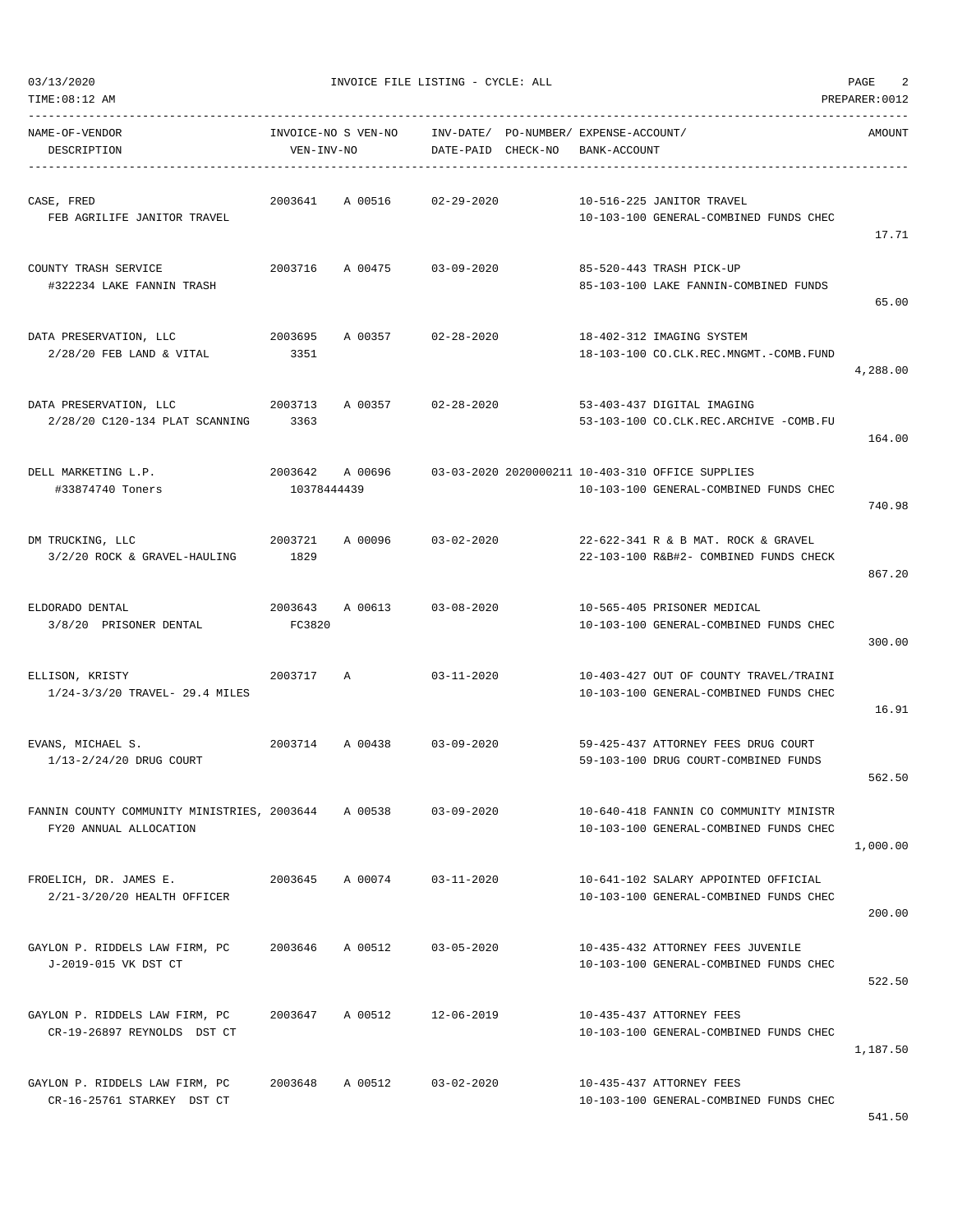| TIME: 08:12 AM                                                        |                                   |         |                    |                                                       |                                                                                            | PREPARER: 0012 |
|-----------------------------------------------------------------------|-----------------------------------|---------|--------------------|-------------------------------------------------------|--------------------------------------------------------------------------------------------|----------------|
| NAME-OF-VENDOR<br>DESCRIPTION                                         | INVOICE-NO S VEN-NO<br>VEN-INV-NO |         | DATE-PAID CHECK-NO | INV-DATE/ PO-NUMBER/ EXPENSE-ACCOUNT/<br>BANK-ACCOUNT |                                                                                            | AMOUNT         |
| CASE, FRED<br>FEB AGRILIFE JANITOR TRAVEL                             | 2003641                           | A 00516 | $02 - 29 - 2020$   |                                                       | 10-516-225 JANITOR TRAVEL<br>10-103-100 GENERAL-COMBINED FUNDS CHEC                        | 17.71          |
| COUNTY TRASH SERVICE<br>#322234 LAKE FANNIN TRASH                     | 2003716                           | A 00475 | $03 - 09 - 2020$   |                                                       | 85-520-443 TRASH PICK-UP<br>85-103-100 LAKE FANNIN-COMBINED FUNDS                          | 65.00          |
| DATA PRESERVATION, LLC<br>$2/28/20$ FEB LAND & VITAL                  | 2003695<br>3351                   | A 00357 | $02 - 28 - 2020$   |                                                       | 18-402-312 IMAGING SYSTEM<br>18-103-100 CO.CLK.REC.MNGMT.-COMB.FUND                        | 4,288.00       |
| DATA PRESERVATION, LLC<br>2/28/20 C120-134 PLAT SCANNING              | 2003713<br>3363                   | A 00357 | $02 - 28 - 2020$   |                                                       | 53-403-437 DIGITAL IMAGING<br>53-103-100 CO.CLK.REC.ARCHIVE -COMB.FU                       | 164.00         |
| DELL MARKETING L.P.<br>#33874740 Toners                               | 2003642 A 00696<br>10378444439    |         |                    |                                                       | 03-03-2020 2020000211 10-403-310 OFFICE SUPPLIES<br>10-103-100 GENERAL-COMBINED FUNDS CHEC | 740.98         |
| DM TRUCKING, LLC<br>3/2/20 ROCK & GRAVEL-HAULING                      | 2003721<br>1829                   | A 00096 | $03 - 02 - 2020$   |                                                       | 22-622-341 R & B MAT. ROCK & GRAVEL<br>22-103-100 R&B#2- COMBINED FUNDS CHECK              | 867.20         |
| ELDORADO DENTAL<br>3/8/20 PRISONER DENTAL                             | 2003643<br>FC3820                 | A 00613 | $03 - 08 - 2020$   |                                                       | 10-565-405 PRISONER MEDICAL<br>10-103-100 GENERAL-COMBINED FUNDS CHEC                      | 300.00         |
| ELLISON, KRISTY<br>1/24-3/3/20 TRAVEL- 29.4 MILES                     | 2003717                           | Α       | $03 - 11 - 2020$   |                                                       | 10-403-427 OUT OF COUNTY TRAVEL/TRAINI<br>10-103-100 GENERAL-COMBINED FUNDS CHEC           | 16.91          |
| EVANS, MICHAEL S.<br>1/13-2/24/20 DRUG COURT                          | 2003714                           | A 00438 | $03 - 09 - 2020$   |                                                       | 59-425-437 ATTORNEY FEES DRUG COURT<br>59-103-100 DRUG COURT-COMBINED FUNDS                | 562.50         |
| FANNIN COUNTY COMMUNITY MINISTRIES, 2003644<br>FY20 ANNUAL ALLOCATION |                                   | A 00538 | $03 - 09 - 2020$   |                                                       | 10-640-418 FANNIN CO COMMUNITY MINISTR<br>10-103-100 GENERAL-COMBINED FUNDS CHEC           | 1,000.00       |
| FROELICH, DR. JAMES E.<br>2/21-3/20/20 HEALTH OFFICER                 | 2003645                           | A 00074 | $03 - 11 - 2020$   |                                                       | 10-641-102 SALARY APPOINTED OFFICIAL<br>10-103-100 GENERAL-COMBINED FUNDS CHEC             | 200.00         |
| GAYLON P. RIDDELS LAW FIRM, PC<br>J-2019-015 VK DST CT                | 2003646                           | A 00512 | $03 - 05 - 2020$   |                                                       | 10-435-432 ATTORNEY FEES JUVENILE<br>10-103-100 GENERAL-COMBINED FUNDS CHEC                | 522.50         |
| GAYLON P. RIDDELS LAW FIRM, PC<br>CR-19-26897 REYNOLDS DST CT         | 2003647                           | A 00512 | $12 - 06 - 2019$   |                                                       | 10-435-437 ATTORNEY FEES<br>10-103-100 GENERAL-COMBINED FUNDS CHEC                         | 1,187.50       |
| GAYLON P. RIDDELS LAW FIRM, PC<br>CR-16-25761 STARKEY DST CT          | 2003648                           | A 00512 | $03 - 02 - 2020$   |                                                       | 10-435-437 ATTORNEY FEES<br>10-103-100 GENERAL-COMBINED FUNDS CHEC                         | 541.50         |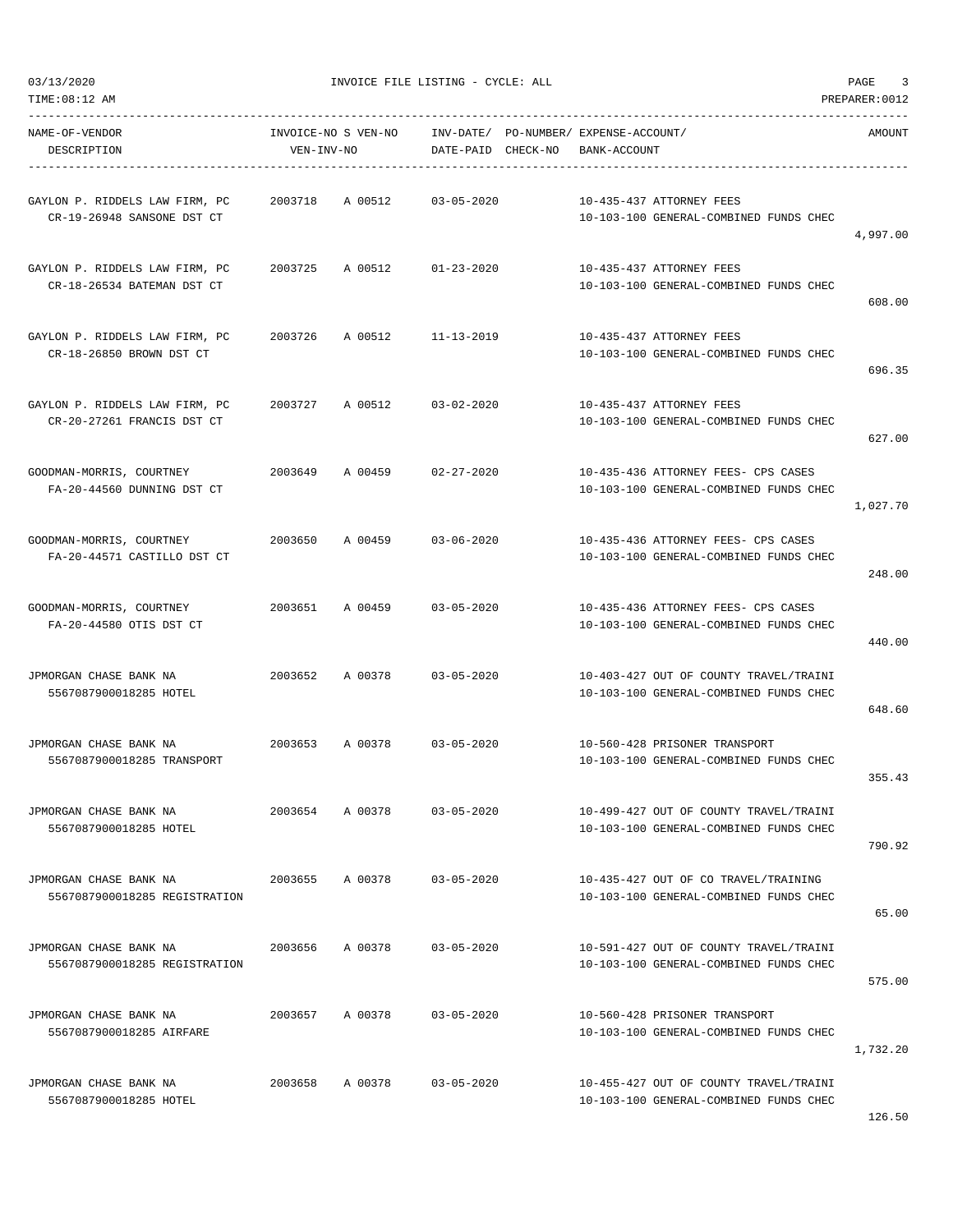TIME:08:12 AM PREPARER:0012

#### $03/13/2020$  PAGE 3

| NAME-OF-VENDOR<br>DESCRIPTION                                | VEN-INV-NO |                 | INVOICE-NO S VEN-NO     INV-DATE/ PO-NUMBER/ EXPENSE-ACCOUNT/<br>DATE-PAID CHECK-NO | BANK-ACCOUNT |                                                                                  | AMOUNT   |
|--------------------------------------------------------------|------------|-----------------|-------------------------------------------------------------------------------------|--------------|----------------------------------------------------------------------------------|----------|
| GAYLON P. RIDDELS LAW FIRM, PC<br>CR-19-26948 SANSONE DST CT | 2003718    |                 | A 00512 03-05-2020                                                                  |              | 10-435-437 ATTORNEY FEES<br>10-103-100 GENERAL-COMBINED FUNDS CHEC               | 4,997.00 |
| GAYLON P. RIDDELS LAW FIRM, PC<br>CR-18-26534 BATEMAN DST CT |            |                 | 2003725 A 00512 01-23-2020                                                          |              | 10-435-437 ATTORNEY FEES<br>10-103-100 GENERAL-COMBINED FUNDS CHEC               | 608.00   |
| GAYLON P. RIDDELS LAW FIRM, PC<br>CR-18-26850 BROWN DST CT   | 2003726    |                 | A 00512 11-13-2019                                                                  |              | 10-435-437 ATTORNEY FEES<br>10-103-100 GENERAL-COMBINED FUNDS CHEC               | 696.35   |
| GAYLON P. RIDDELS LAW FIRM, PC<br>CR-20-27261 FRANCIS DST CT |            |                 | 2003727 A 00512 03-02-2020                                                          |              | 10-435-437 ATTORNEY FEES<br>10-103-100 GENERAL-COMBINED FUNDS CHEC               | 627.00   |
| GOODMAN-MORRIS, COURTNEY<br>FA-20-44560 DUNNING DST CT       |            |                 | 2003649 A 00459 02-27-2020                                                          |              | 10-435-436 ATTORNEY FEES- CPS CASES<br>10-103-100 GENERAL-COMBINED FUNDS CHEC    | 1,027.70 |
| GOODMAN-MORRIS, COURTNEY<br>FA-20-44571 CASTILLO DST CT      |            | 2003650 A 00459 | 03-06-2020                                                                          |              | 10-435-436 ATTORNEY FEES- CPS CASES<br>10-103-100 GENERAL-COMBINED FUNDS CHEC    | 248.00   |
| GOODMAN-MORRIS, COURTNEY<br>FA-20-44580 OTIS DST CT          |            |                 | 2003651 A 00459 03-05-2020                                                          |              | 10-435-436 ATTORNEY FEES- CPS CASES<br>10-103-100 GENERAL-COMBINED FUNDS CHEC    | 440.00   |
| JPMORGAN CHASE BANK NA<br>5567087900018285 HOTEL             | 2003652    | A 00378         | $03 - 05 - 2020$                                                                    |              | 10-403-427 OUT OF COUNTY TRAVEL/TRAINI<br>10-103-100 GENERAL-COMBINED FUNDS CHEC | 648.60   |
| JPMORGAN CHASE BANK NA<br>5567087900018285 TRANSPORT         |            |                 | 2003653 A 00378 03-05-2020                                                          |              | 10-560-428 PRISONER TRANSPORT<br>10-103-100 GENERAL-COMBINED FUNDS CHEC          | 355.43   |
| JPMORGAN CHASE BANK NA<br>5567087900018285 HOTEL             | 2003654    | A 00378         | $03 - 05 - 2020$                                                                    |              | 10-499-427 OUT OF COUNTY TRAVEL/TRAINI<br>10-103-100 GENERAL-COMBINED FUNDS CHEC | 790.92   |
| JPMORGAN CHASE BANK NA<br>5567087900018285 REGISTRATION      | 2003655    |                 | A 00378 03-05-2020                                                                  |              | 10-435-427 OUT OF CO TRAVEL/TRAINING<br>10-103-100 GENERAL-COMBINED FUNDS CHEC   | 65.00    |
| JPMORGAN CHASE BANK NA<br>5567087900018285 REGISTRATION      | 2003656    | A 00378         | $03 - 05 - 2020$                                                                    |              | 10-591-427 OUT OF COUNTY TRAVEL/TRAINI<br>10-103-100 GENERAL-COMBINED FUNDS CHEC | 575.00   |
| JPMORGAN CHASE BANK NA<br>5567087900018285 AIRFARE           |            | 2003657 A 00378 | $03 - 05 - 2020$                                                                    |              | 10-560-428 PRISONER TRANSPORT<br>10-103-100 GENERAL-COMBINED FUNDS CHEC          | 1,732.20 |
| JPMORGAN CHASE BANK NA<br>5567087900018285 HOTEL             | 2003658    | A 00378         | $03 - 05 - 2020$                                                                    |              | 10-455-427 OUT OF COUNTY TRAVEL/TRAINI<br>10-103-100 GENERAL-COMBINED FUNDS CHEC |          |

126.50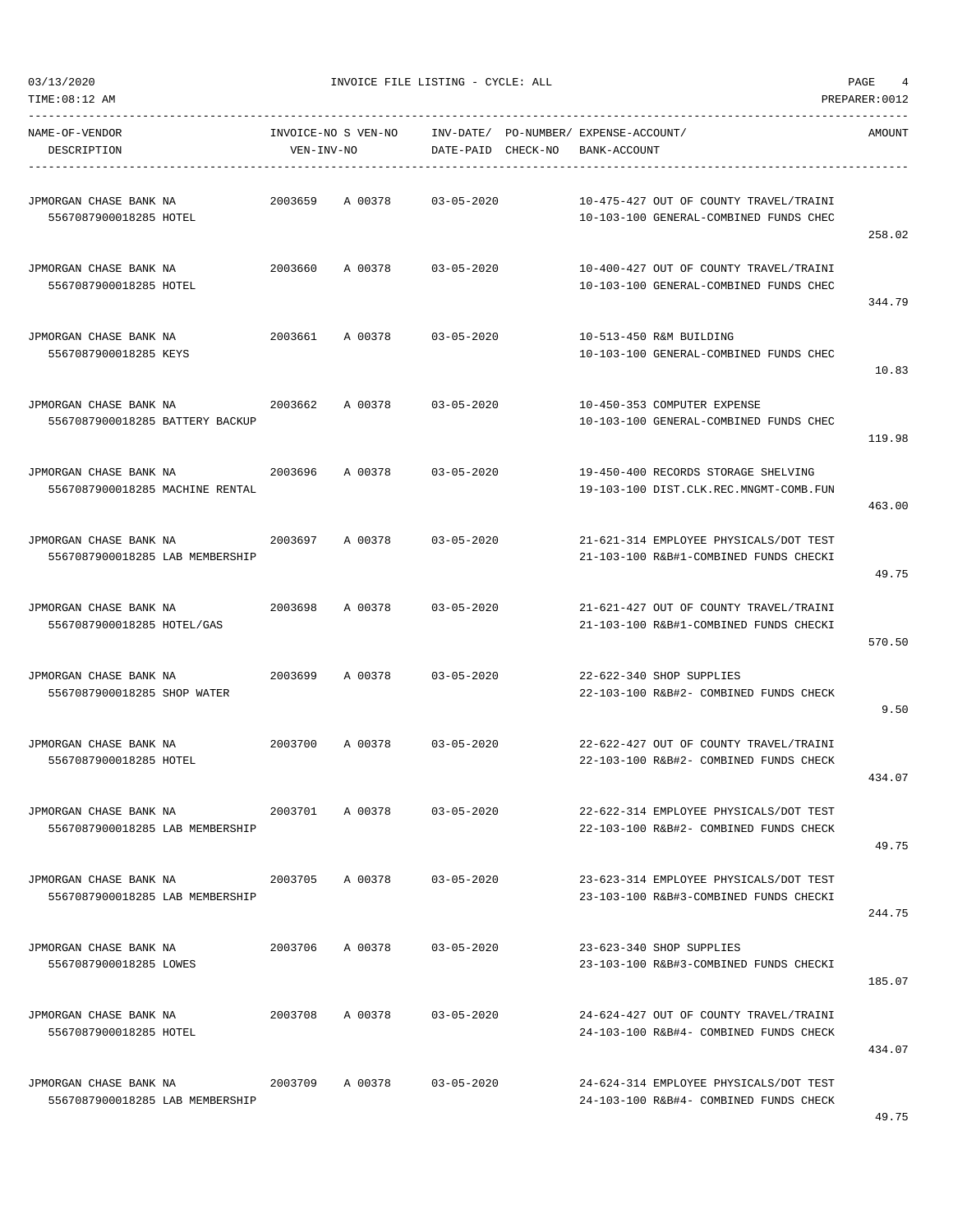$03/13/2020$  PAGE 4

TIME:08:12 AM PREPARER:0012  $\texttt{NAME}-OF-VENDOR \newline \texttt{INVOICE-NO} \texttt{S} \texttt{VEN-NO} \newline \texttt{INV-DATE} \texttt{PO-NUMBER} \texttt{EXPENSE-ACCOUNT} \texttt{C} \newline$ 

| NAME-OF-VENDOR<br>DESCRIPTION                             | INVOICE-NO S VEN-NO<br>VEN-INV-NO |         | DATE-PAID        | CHECK-NO | INV-DATE/ PO-NUMBER/ EXPENSE-ACCOUNT/<br>BANK-ACCOUNT                            | <b>AMOUNT</b> |
|-----------------------------------------------------------|-----------------------------------|---------|------------------|----------|----------------------------------------------------------------------------------|---------------|
| JPMORGAN CHASE BANK NA<br>5567087900018285 HOTEL          | 2003659                           | A 00378 | $03 - 05 - 2020$ |          | 10-475-427 OUT OF COUNTY TRAVEL/TRAINI<br>10-103-100 GENERAL-COMBINED FUNDS CHEC | 258.02        |
| JPMORGAN CHASE BANK NA<br>5567087900018285 HOTEL          | 2003660                           | A 00378 | $03 - 05 - 2020$ |          | 10-400-427 OUT OF COUNTY TRAVEL/TRAINI<br>10-103-100 GENERAL-COMBINED FUNDS CHEC | 344.79        |
| JPMORGAN CHASE BANK NA<br>5567087900018285 KEYS           | 2003661                           | A 00378 | $03 - 05 - 2020$ |          | 10-513-450 R&M BUILDING<br>10-103-100 GENERAL-COMBINED FUNDS CHEC                | 10.83         |
| JPMORGAN CHASE BANK NA<br>5567087900018285 BATTERY BACKUP | 2003662                           | A 00378 | $03 - 05 - 2020$ |          | 10-450-353 COMPUTER EXPENSE<br>10-103-100 GENERAL-COMBINED FUNDS CHEC            | 119.98        |
| JPMORGAN CHASE BANK NA<br>5567087900018285 MACHINE RENTAL | 2003696                           | A 00378 | $03 - 05 - 2020$ |          | 19-450-400 RECORDS STORAGE SHELVING<br>19-103-100 DIST.CLK.REC.MNGMT-COMB.FUN    | 463.00        |
| JPMORGAN CHASE BANK NA<br>5567087900018285 LAB MEMBERSHIP | 2003697                           | A 00378 | $03 - 05 - 2020$ |          | 21-621-314 EMPLOYEE PHYSICALS/DOT TEST<br>21-103-100 R&B#1-COMBINED FUNDS CHECKI | 49.75         |
| JPMORGAN CHASE BANK NA<br>5567087900018285 HOTEL/GAS      | 2003698                           | A 00378 | $03 - 05 - 2020$ |          | 21-621-427 OUT OF COUNTY TRAVEL/TRAINI<br>21-103-100 R&B#1-COMBINED FUNDS CHECKI | 570.50        |
| JPMORGAN CHASE BANK NA<br>5567087900018285 SHOP WATER     | 2003699                           | A 00378 | $03 - 05 - 2020$ |          | 22-622-340 SHOP SUPPLIES<br>22-103-100 R&B#2- COMBINED FUNDS CHECK               | 9.50          |
| JPMORGAN CHASE BANK NA<br>5567087900018285 HOTEL          | 2003700                           | A 00378 | $03 - 05 - 2020$ |          | 22-622-427 OUT OF COUNTY TRAVEL/TRAINI<br>22-103-100 R&B#2- COMBINED FUNDS CHECK | 434.07        |
| JPMORGAN CHASE BANK NA<br>5567087900018285 LAB MEMBERSHIP | 2003701                           | A 00378 | $03 - 05 - 2020$ |          | 22-622-314 EMPLOYEE PHYSICALS/DOT TEST<br>22-103-100 R&B#2- COMBINED FUNDS CHECK | 49.75         |
| JPMORGAN CHASE BANK NA<br>5567087900018285 LAB MEMBERSHIP | 2003705                           | A 00378 | $03 - 05 - 2020$ |          | 23-623-314 EMPLOYEE PHYSICALS/DOT TEST<br>23-103-100 R&B#3-COMBINED FUNDS CHECKI | 244.75        |
| JPMORGAN CHASE BANK NA<br>5567087900018285 LOWES          | 2003706                           | A 00378 | $03 - 05 - 2020$ |          | 23-623-340 SHOP SUPPLIES<br>23-103-100 R&B#3-COMBINED FUNDS CHECKI               | 185.07        |
| JPMORGAN CHASE BANK NA<br>5567087900018285 HOTEL          | 2003708                           | A 00378 | 03-05-2020       |          | 24-624-427 OUT OF COUNTY TRAVEL/TRAINI<br>24-103-100 R&B#4- COMBINED FUNDS CHECK | 434.07        |
| JPMORGAN CHASE BANK NA<br>5567087900018285 LAB MEMBERSHIP | 2003709                           | A 00378 | $03 - 05 - 2020$ |          | 24-624-314 EMPLOYEE PHYSICALS/DOT TEST<br>24-103-100 R&B#4- COMBINED FUNDS CHECK |               |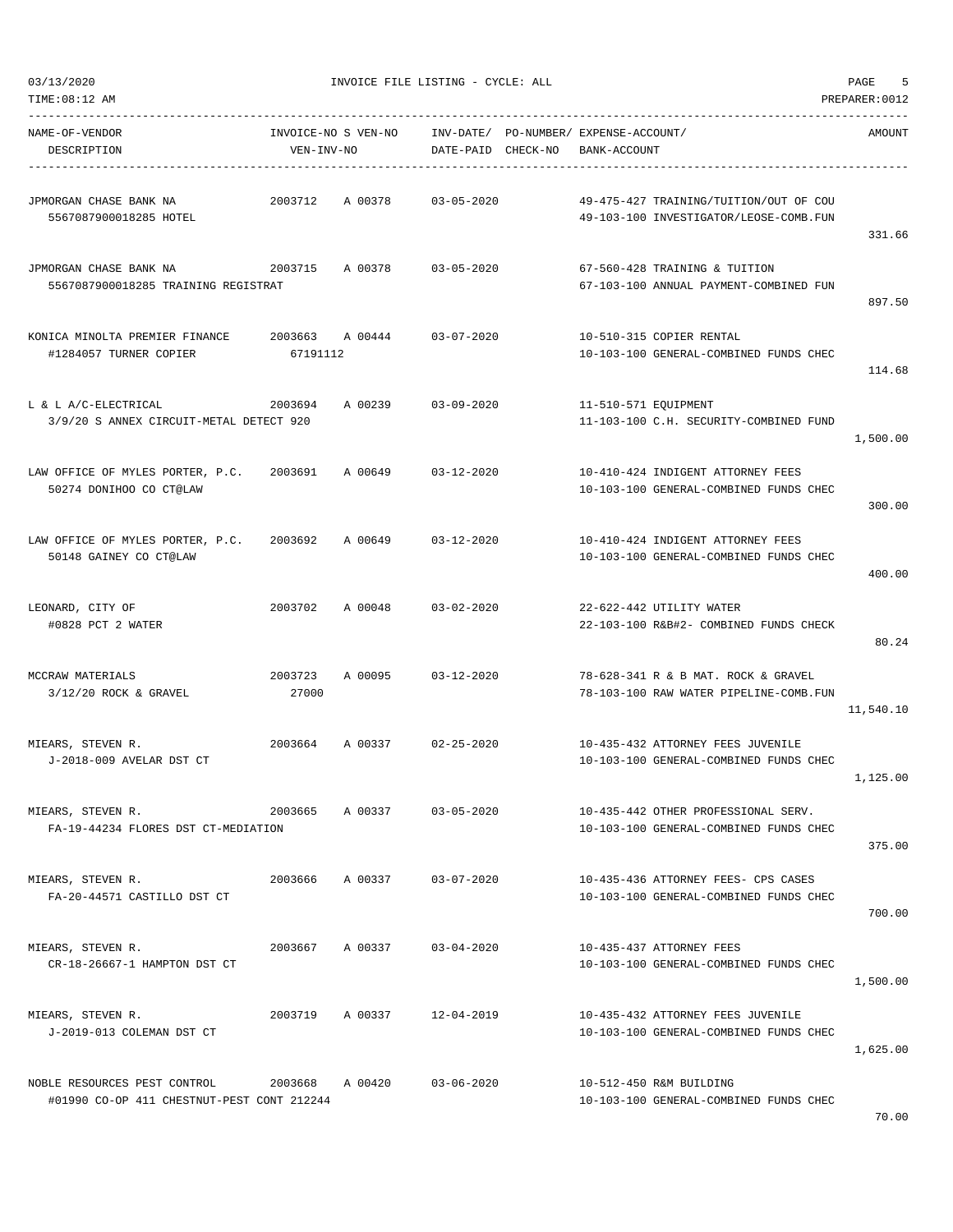03/13/2020 INVOICE FILE LISTING - CYCLE: ALL PAGE 5

| TIME:08:12 AM                                                              |                                   |                 |                    |                                                       |                                                                                  | PREPARER: 0012 |
|----------------------------------------------------------------------------|-----------------------------------|-----------------|--------------------|-------------------------------------------------------|----------------------------------------------------------------------------------|----------------|
| NAME-OF-VENDOR<br>DESCRIPTION                                              | INVOICE-NO S VEN-NO<br>VEN-INV-NO |                 | DATE-PAID CHECK-NO | INV-DATE/ PO-NUMBER/ EXPENSE-ACCOUNT/<br>BANK-ACCOUNT |                                                                                  | AMOUNT         |
| JPMORGAN CHASE BANK NA<br>5567087900018285 HOTEL                           | 2003712                           | A 00378         | $03 - 05 - 2020$   |                                                       | 49-475-427 TRAINING/TUITION/OUT OF COU<br>49-103-100 INVESTIGATOR/LEOSE-COMB.FUN | 331.66         |
| JPMORGAN CHASE BANK NA<br>5567087900018285 TRAINING REGISTRAT              | 2003715                           | A 00378         | $03 - 05 - 2020$   |                                                       | 67-560-428 TRAINING & TUITION<br>67-103-100 ANNUAL PAYMENT-COMBINED FUN          | 897.50         |
| KONICA MINOLTA PREMIER FINANCE<br>#1284057 TURNER COPIER                   | 2003663<br>67191112               | A 00444         | $03 - 07 - 2020$   |                                                       | 10-510-315 COPIER RENTAL<br>10-103-100 GENERAL-COMBINED FUNDS CHEC               | 114.68         |
| L & L A/C-ELECTRICAL<br>3/9/20 S ANNEX CIRCUIT-METAL DETECT 920            | 2003694                           | A 00239         | $03 - 09 - 2020$   | 11-510-571 EQUIPMENT                                  | 11-103-100 C.H. SECURITY-COMBINED FUND                                           | 1,500.00       |
| LAW OFFICE OF MYLES PORTER, P.C.<br>50274 DONIHOO CO CT@LAW                | 2003691                           | A 00649         | $03 - 12 - 2020$   |                                                       | 10-410-424 INDIGENT ATTORNEY FEES<br>10-103-100 GENERAL-COMBINED FUNDS CHEC      | 300.00         |
| LAW OFFICE OF MYLES PORTER, P.C.<br>50148 GAINEY CO CT@LAW                 | 2003692                           | A 00649         | $03 - 12 - 2020$   |                                                       | 10-410-424 INDIGENT ATTORNEY FEES<br>10-103-100 GENERAL-COMBINED FUNDS CHEC      | 400.00         |
| LEONARD, CITY OF<br>#0828 PCT 2 WATER                                      | 2003702                           | A 00048         | $03 - 02 - 2020$   |                                                       | 22-622-442 UTILITY WATER<br>22-103-100 R&B#2- COMBINED FUNDS CHECK               | 80.24          |
| MCCRAW MATERIALS<br>$3/12/20$ ROCK & GRAVEL                                | 2003723<br>27000                  | A 00095         | $03 - 12 - 2020$   |                                                       | 78-628-341 R & B MAT. ROCK & GRAVEL<br>78-103-100 RAW WATER PIPELINE-COMB.FUN    | 11,540.10      |
| MIEARS, STEVEN R.<br>J-2018-009 AVELAR DST CT                              | 2003664                           | A 00337         | $02 - 25 - 2020$   |                                                       | 10-435-432 ATTORNEY FEES JUVENILE<br>10-103-100 GENERAL-COMBINED FUNDS CHEC      | 1,125.00       |
| MIEARS, STEVEN R.<br>FA-19-44234 FLORES DST CT-MEDIATION                   | 2003665                           | A 00337         | $03 - 05 - 2020$   |                                                       | 10-435-442 OTHER PROFESSIONAL SERV.<br>10-103-100 GENERAL-COMBINED FUNDS CHEC    | 375.00         |
| MIEARS, STEVEN R.<br>FA-20-44571 CASTILLO DST CT                           |                                   | 2003666 A 00337 | $03 - 07 - 2020$   |                                                       | 10-435-436 ATTORNEY FEES- CPS CASES<br>10-103-100 GENERAL-COMBINED FUNDS CHEC    | 700.00         |
| MIEARS, STEVEN R.<br>CR-18-26667-1 HAMPTON DST CT                          | 2003667                           | A 00337         | $03 - 04 - 2020$   |                                                       | 10-435-437 ATTORNEY FEES<br>10-103-100 GENERAL-COMBINED FUNDS CHEC               | 1,500.00       |
| MIEARS, STEVEN R.<br>J-2019-013 COLEMAN DST CT                             | 2003719                           | A 00337         | 12-04-2019         |                                                       | 10-435-432 ATTORNEY FEES JUVENILE<br>10-103-100 GENERAL-COMBINED FUNDS CHEC      | 1,625.00       |
| NOBLE RESOURCES PEST CONTROL<br>#01990 CO-OP 411 CHESTNUT-PEST CONT 212244 | 2003668 A 00420                   |                 | $03 - 06 - 2020$   |                                                       | 10-512-450 R&M BUILDING<br>10-103-100 GENERAL-COMBINED FUNDS CHEC                |                |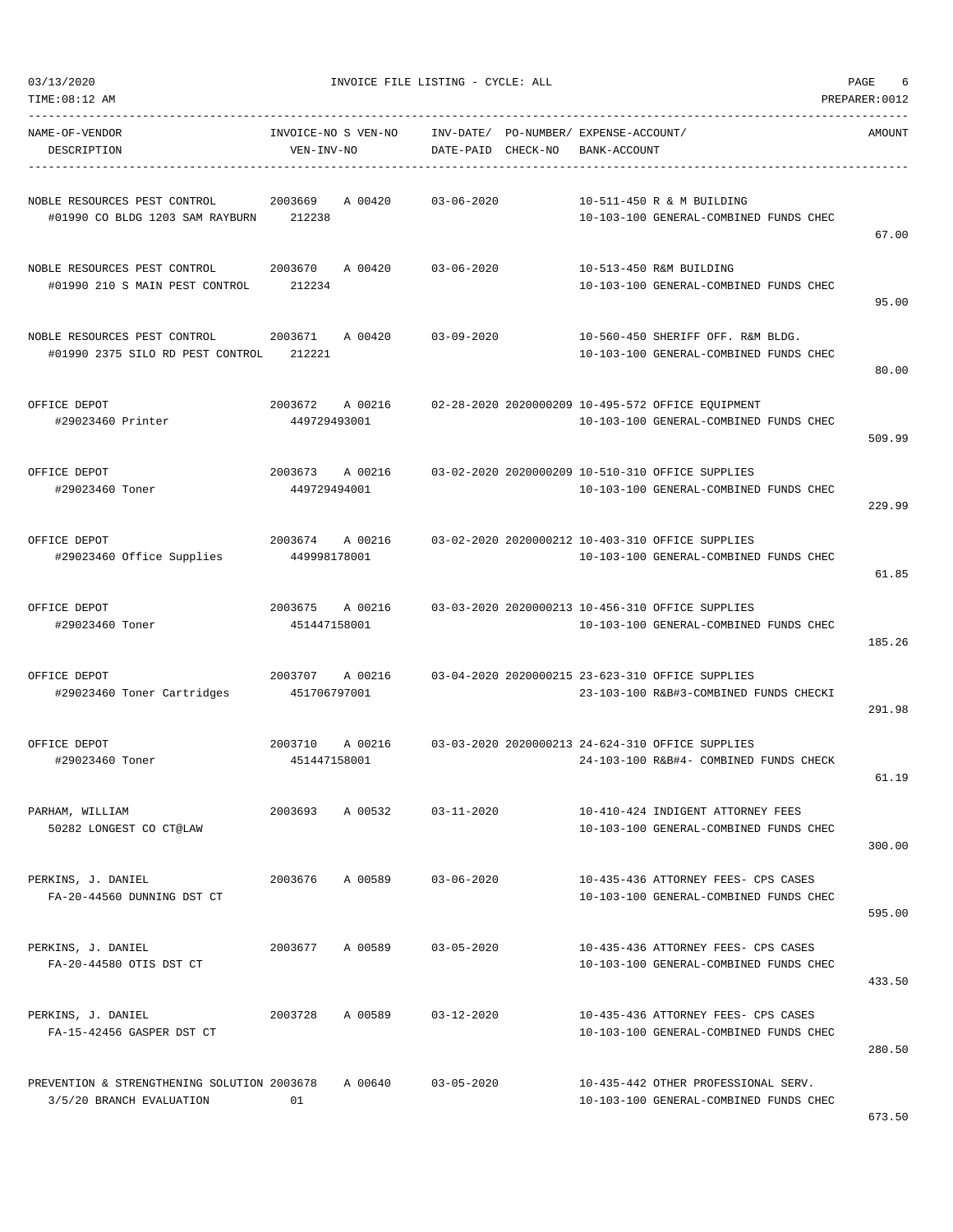| TIME:08:12 AM                                                           |                                    |                        |          |                                             |                                                                                             | PREPARER: 0012 |
|-------------------------------------------------------------------------|------------------------------------|------------------------|----------|---------------------------------------------|---------------------------------------------------------------------------------------------|----------------|
| NAME-OF-VENDOR<br>DESCRIPTION                                           | INVOICE-NO S VEN-NO<br>VEN-INV-NO  | INV-DATE/<br>DATE-PAID | CHECK-NO | PO-NUMBER/ EXPENSE-ACCOUNT/<br>BANK-ACCOUNT |                                                                                             | AMOUNT         |
| NOBLE RESOURCES PEST CONTROL<br>#01990 CO BLDG 1203 SAM RAYBURN         | 2003669<br>A 00420<br>212238       | $03 - 06 - 2020$       |          |                                             | 10-511-450 R & M BUILDING<br>10-103-100 GENERAL-COMBINED FUNDS CHEC                         | 67.00          |
| NOBLE RESOURCES PEST CONTROL<br>#01990 210 S MAIN PEST CONTROL          | 2003670<br>A 00420<br>212234       | $03 - 06 - 2020$       |          |                                             | 10-513-450 R&M BUILDING<br>10-103-100 GENERAL-COMBINED FUNDS CHEC                           | 95.00          |
| NOBLE RESOURCES PEST CONTROL<br>#01990 2375 SILO RD PEST CONTROL        | 2003671<br>A 00420<br>212221       | $03 - 09 - 2020$       |          |                                             | 10-560-450 SHERIFF OFF. R&M BLDG.<br>10-103-100 GENERAL-COMBINED FUNDS CHEC                 | 80.00          |
| OFFICE DEPOT<br>#29023460 Printer                                       | 2003672<br>A 00216<br>449729493001 |                        |          |                                             | 02-28-2020 2020000209 10-495-572 OFFICE EQUIPMENT<br>10-103-100 GENERAL-COMBINED FUNDS CHEC | 509.99         |
| OFFICE DEPOT<br>#29023460 Toner                                         | 2003673<br>A 00216<br>449729494001 |                        |          |                                             | 03-02-2020 2020000209 10-510-310 OFFICE SUPPLIES<br>10-103-100 GENERAL-COMBINED FUNDS CHEC  | 229.99         |
| OFFICE DEPOT<br>#29023460 Office Supplies                               | 2003674<br>A 00216<br>449998178001 |                        |          |                                             | 03-02-2020 2020000212 10-403-310 OFFICE SUPPLIES<br>10-103-100 GENERAL-COMBINED FUNDS CHEC  | 61.85          |
| OFFICE DEPOT<br>#29023460 Toner                                         | 2003675<br>A 00216<br>451447158001 |                        |          |                                             | 03-03-2020 2020000213 10-456-310 OFFICE SUPPLIES<br>10-103-100 GENERAL-COMBINED FUNDS CHEC  | 185.26         |
| OFFICE DEPOT<br>#29023460 Toner Cartridges                              | 2003707<br>A 00216<br>451706797001 |                        |          |                                             | 03-04-2020 2020000215 23-623-310 OFFICE SUPPLIES<br>23-103-100 R&B#3-COMBINED FUNDS CHECKI  | 291.98         |
| OFFICE DEPOT<br>#29023460 Toner                                         | 2003710<br>A 00216<br>451447158001 |                        |          |                                             | 03-03-2020 2020000213 24-624-310 OFFICE SUPPLIES<br>24-103-100 R&B#4- COMBINED FUNDS CHECK  | 61.19          |
| PARHAM, WILLIAM<br>50282 LONGEST CO CT@LAW                              | A 00532<br>2003693                 | $03 - 11 - 2020$       |          |                                             | 10-410-424 INDIGENT ATTORNEY FEES<br>10-103-100 GENERAL-COMBINED FUNDS CHEC                 | 300.00         |
| PERKINS, J. DANIEL<br>FA-20-44560 DUNNING DST CT                        | A 00589<br>2003676                 | $03 - 06 - 2020$       |          |                                             | 10-435-436 ATTORNEY FEES- CPS CASES<br>10-103-100 GENERAL-COMBINED FUNDS CHEC               | 595.00         |
| PERKINS, J. DANIEL<br>FA-20-44580 OTIS DST CT                           | A 00589<br>2003677                 | $03 - 05 - 2020$       |          |                                             | 10-435-436 ATTORNEY FEES- CPS CASES<br>10-103-100 GENERAL-COMBINED FUNDS CHEC               | 433.50         |
| PERKINS, J. DANIEL<br>FA-15-42456 GASPER DST CT                         | A 00589<br>2003728                 | $03 - 12 - 2020$       |          |                                             | 10-435-436 ATTORNEY FEES- CPS CASES<br>10-103-100 GENERAL-COMBINED FUNDS CHEC               | 280.50         |
| PREVENTION & STRENGTHENING SOLUTION 2003678<br>3/5/20 BRANCH EVALUATION | A 00640<br>01                      | $03 - 05 - 2020$       |          |                                             | 10-435-442 OTHER PROFESSIONAL SERV.<br>10-103-100 GENERAL-COMBINED FUNDS CHEC               | 673.50         |

 $03/13/2020$  PAGE 6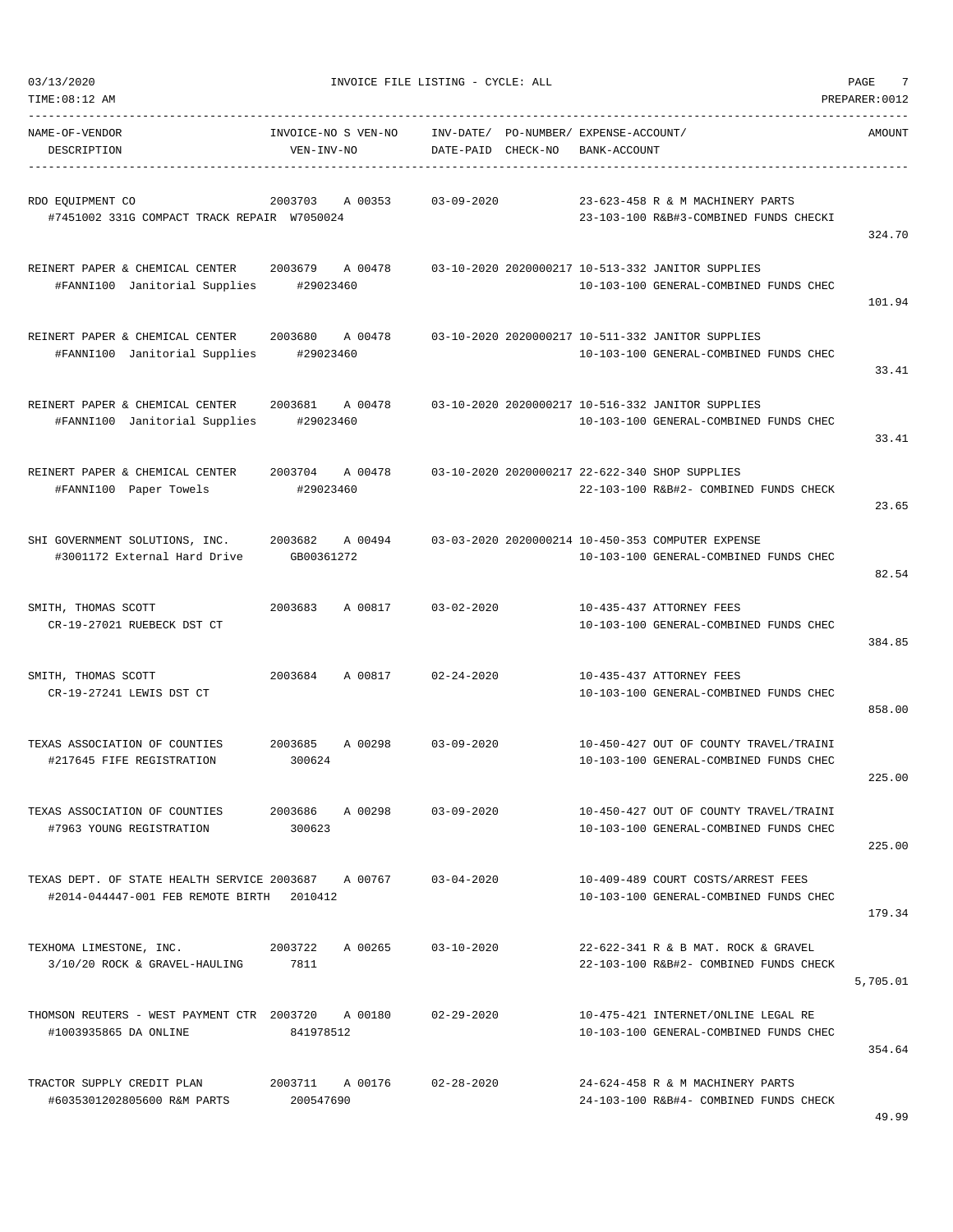| TIME:08:12 AM                                                                                               |                                   |                                                             |              |                                                                                             | PREPARER: 0012 |
|-------------------------------------------------------------------------------------------------------------|-----------------------------------|-------------------------------------------------------------|--------------|---------------------------------------------------------------------------------------------|----------------|
| NAME-OF-VENDOR<br>DESCRIPTION                                                                               | INVOICE-NO S VEN-NO<br>VEN-INV-NO | INV-DATE/ PO-NUMBER/ EXPENSE-ACCOUNT/<br>DATE-PAID CHECK-NO | BANK-ACCOUNT |                                                                                             | AMOUNT         |
| RDO EQUIPMENT CO<br>#7451002 331G COMPACT TRACK REPAIR W7050024                                             | 2003703<br>A 00353                | $03 - 09 - 2020$                                            |              | 23-623-458 R & M MACHINERY PARTS<br>23-103-100 R&B#3-COMBINED FUNDS CHECKI                  | 324.70         |
| REINERT PAPER & CHEMICAL CENTER 2003679 A 00478<br>#FANNI100 Janitorial Supplies                            | #29023460                         |                                                             |              | 03-10-2020 2020000217 10-513-332 JANITOR SUPPLIES<br>10-103-100 GENERAL-COMBINED FUNDS CHEC | 101.94         |
| REINERT PAPER & CHEMICAL CENTER<br>#FANNI100 Janitorial Supplies                                            | 2003680<br>A 00478<br>#29023460   |                                                             |              | 03-10-2020 2020000217 10-511-332 JANITOR SUPPLIES<br>10-103-100 GENERAL-COMBINED FUNDS CHEC | 33.41          |
| REINERT PAPER & CHEMICAL CENTER<br>#FANNI100 Janitorial Supplies                                            | 2003681<br>A 00478<br>#29023460   |                                                             |              | 03-10-2020 2020000217 10-516-332 JANITOR SUPPLIES<br>10-103-100 GENERAL-COMBINED FUNDS CHEC | 33.41          |
| REINERT PAPER & CHEMICAL CENTER<br>#FANNI100 Paper Towels                                                   | 2003704<br>A 00478<br>#29023460   |                                                             |              | 03-10-2020 2020000217 22-622-340 SHOP SUPPLIES<br>22-103-100 R&B#2- COMBINED FUNDS CHECK    | 23.65          |
| SHI GOVERNMENT SOLUTIONS, INC.<br>#3001172 External Hard Drive                                              | A 00494<br>2003682<br>GB00361272  |                                                             |              | 03-03-2020 2020000214 10-450-353 COMPUTER EXPENSE<br>10-103-100 GENERAL-COMBINED FUNDS CHEC | 82.54          |
| SMITH, THOMAS SCOTT<br>CR-19-27021 RUEBECK DST CT                                                           | 2003683<br>A 00817                | $03 - 02 - 2020$                                            |              | 10-435-437 ATTORNEY FEES<br>10-103-100 GENERAL-COMBINED FUNDS CHEC                          | 384.85         |
| SMITH, THOMAS SCOTT<br>CR-19-27241 LEWIS DST CT                                                             | A 00817<br>2003684                | $02 - 24 - 2020$                                            |              | 10-435-437 ATTORNEY FEES<br>10-103-100 GENERAL-COMBINED FUNDS CHEC                          | 858.00         |
| TEXAS ASSOCIATION OF COUNTIES<br>#217645 FIFE REGISTRATION                                                  | 2003685<br>A 00298<br>300624      | $03 - 09 - 2020$                                            |              | 10-450-427 OUT OF COUNTY TRAVEL/TRAINI<br>10-103-100 GENERAL-COMBINED FUNDS CHEC            | 225.00         |
| TEXAS ASSOCIATION OF COUNTIES<br>#7963 YOUNG REGISTRATION                                                   | 2003686 A 00298<br>300623         | $03 - 09 - 2020$                                            |              | 10-450-427 OUT OF COUNTY TRAVEL/TRAINI<br>10-103-100 GENERAL-COMBINED FUNDS CHEC            | 225.00         |
| TEXAS DEPT. OF STATE HEALTH SERVICE 2003687 A 00767 03-04-2020<br>#2014-044447-001 FEB REMOTE BIRTH 2010412 |                                   |                                                             |              | 10-409-489 COURT COSTS/ARREST FEES<br>10-103-100 GENERAL-COMBINED FUNDS CHEC                | 179.34         |
| TEXHOMA LIMESTONE, INC.<br>3/10/20 ROCK & GRAVEL-HAULING 7811                                               | 2003722 A 00265                   | $03 - 10 - 2020$                                            |              | 22-622-341 R & B MAT. ROCK & GRAVEL<br>22-103-100 R&B#2- COMBINED FUNDS CHECK               | 5,705.01       |
| THOMSON REUTERS - WEST PAYMENT CTR 2003720 A 00180<br>#1003935865 DA ONLINE                                 | 841978512                         | $02 - 29 - 2020$                                            |              | 10-475-421 INTERNET/ONLINE LEGAL RE<br>10-103-100 GENERAL-COMBINED FUNDS CHEC               | 354.64         |
| TRACTOR SUPPLY CREDIT PLAN<br>#6035301202805600 R&M PARTS                                                   | 2003711 A 00176<br>200547690      | $02 - 28 - 2020$                                            |              | 24-624-458 R & M MACHINERY PARTS<br>24-103-100 R&B#4- COMBINED FUNDS CHECK                  | 49.99          |

03/13/2020 INVOICE FILE LISTING - CYCLE: ALL PAGE 7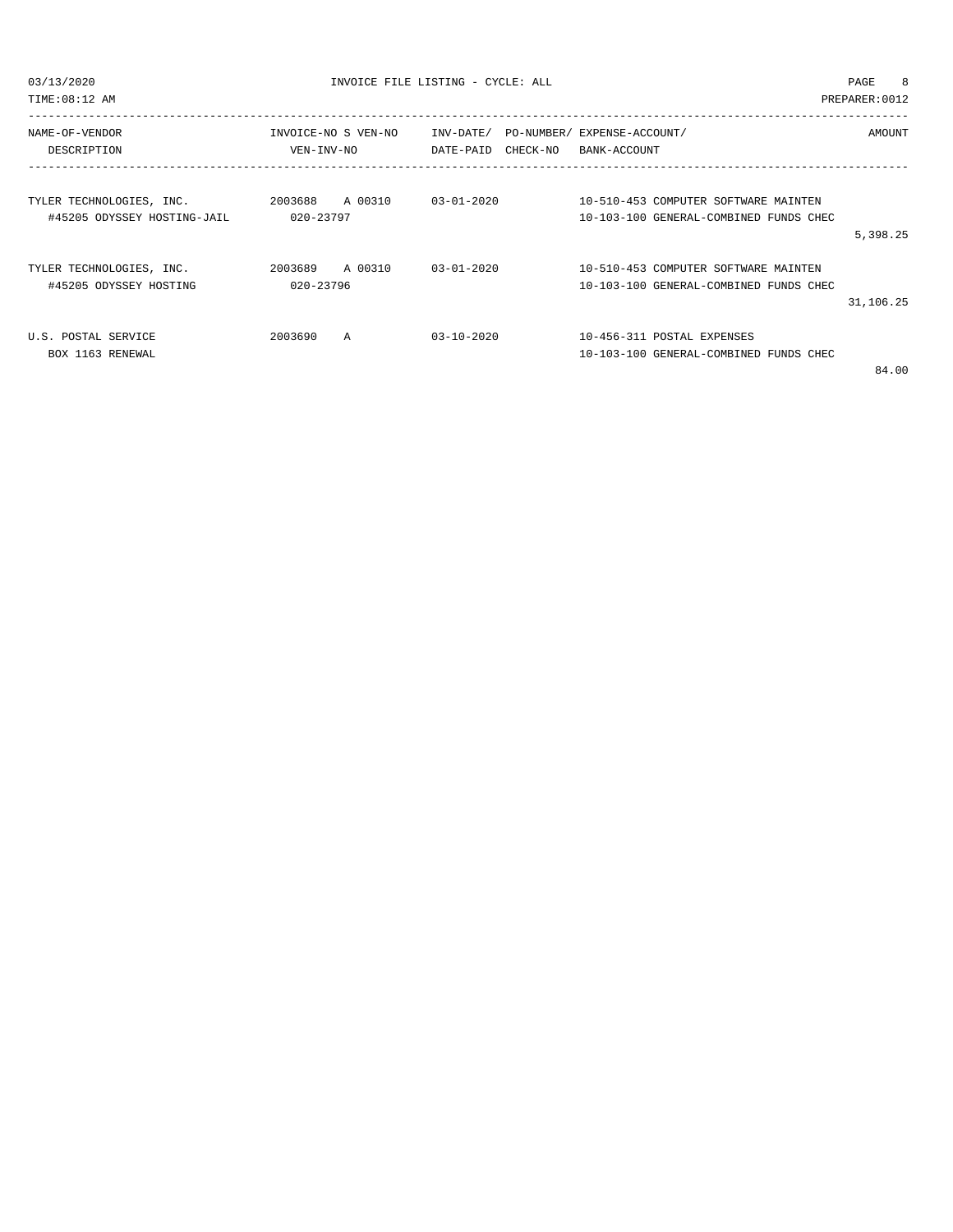$03/13/2020$  PAGE 8

TIME:08:12 AM PREPARER:0012

| NAME-OF-VENDOR<br>DESCRIPTION | INVOICE-NO S VEN-NO<br>VEN-INV-NO | DATE-PAID        | INV-DATE/ PO-NUMBER/ EXPENSE-ACCOUNT/<br>CHECK-NO<br>BANK-ACCOUNT | AMOUNT                                 |
|-------------------------------|-----------------------------------|------------------|-------------------------------------------------------------------|----------------------------------------|
|                               |                                   |                  |                                                                   |                                        |
| TYLER TECHNOLOGIES, INC.      | A 00310<br>2003688                | $03 - 01 - 2020$ |                                                                   | 10-510-453 COMPUTER SOFTWARE MAINTEN   |
| #45205 ODYSSEY HOSTING-JAIL   | 020-23797                         |                  |                                                                   | 10-103-100 GENERAL-COMBINED FUNDS CHEC |
|                               |                                   |                  |                                                                   | 5,398.25                               |
| TYLER TECHNOLOGIES, INC.      | A 00310<br>2003689                | $03 - 01 - 2020$ |                                                                   | 10-510-453 COMPUTER SOFTWARE MAINTEN   |
| #45205 ODYSSEY HOSTING        | 020-23796                         |                  |                                                                   | 10-103-100 GENERAL-COMBINED FUNDS CHEC |
|                               |                                   |                  |                                                                   | 31,106.25                              |
| U.S. POSTAL SERVICE           | 2003690<br>A                      | $03 - 10 - 2020$ | 10-456-311 POSTAL EXPENSES                                        |                                        |
| BOX 1163 RENEWAL              |                                   |                  |                                                                   | 10-103-100 GENERAL-COMBINED FUNDS CHEC |
|                               |                                   |                  |                                                                   | 0100                                   |

84.00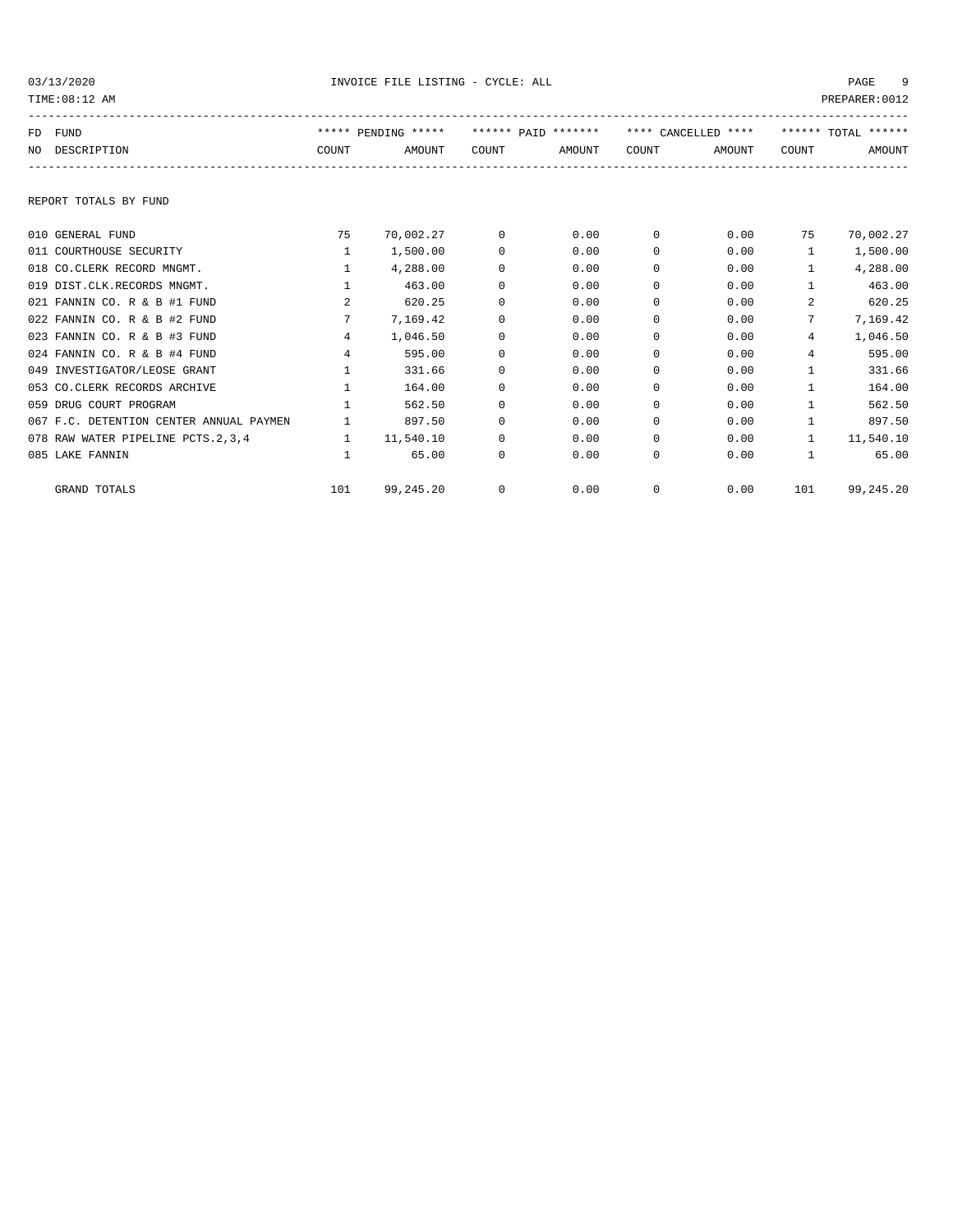03/13/2020 INVOICE FILE LISTING - CYCLE: ALL PAGE 9

| TIME: 08:12 AM                          |                |                     |          |                     |            |                     |                 | PREPARER: 0012          |
|-----------------------------------------|----------------|---------------------|----------|---------------------|------------|---------------------|-----------------|-------------------------|
| FD FUND                                 |                | ***** PENDING ***** |          | ****** PAID ******* |            | **** CANCELLED **** |                 | ****** $T$ OTAI, ****** |
| NO DESCRIPTION                          | COUNT          | AMOUNT              | COUNT    | AMOUNT              | COUNT      | AMOUNT              | COUNT           | AMOUNT                  |
|                                         |                |                     |          |                     |            |                     |                 |                         |
| REPORT TOTALS BY FUND                   |                |                     |          |                     |            |                     |                 |                         |
| 010 GENERAL FUND                        | 75             | 70,002.27           | $\Omega$ | 0.00                | $\Omega$   | 0.00                | 75              | 70,002.27               |
| 011 COURTHOUSE SECURITY                 | $\mathbf{1}$   | 1,500.00            | 0        | 0.00                | $^{\circ}$ | 0.00                | $\mathbf{1}$    | 1,500.00                |
| 018 CO.CLERK RECORD MNGMT.              | $\mathbf{1}$   | 4,288.00            | $\Omega$ | 0.00                | $\Omega$   | 0.00                | $\mathbf{1}$    | 4,288.00                |
| 019 DIST.CLK.RECORDS MNGMT.             | $\mathbf{1}$   | 463.00              | $\Omega$ | 0.00                | $\Omega$   | 0.00                | $\mathbf{1}$    | 463.00                  |
| 021 FANNIN CO. R & B #1 FUND            | $\mathcal{L}$  | 620.25              | $\Omega$ | 0.00                | $\Omega$   | 0.00                | $\mathcal{L}$   | 620.25                  |
| 022 FANNIN CO. R & B #2 FUND            | 7              | 7,169.42            | $\Omega$ | 0.00                | $\Omega$   | 0.00                | 7               | 7,169.42                |
| 023 FANNIN CO. R & B #3 FUND            | $\overline{4}$ | 1,046.50            | $\Omega$ | 0.00                | $\Omega$   | 0.00                | $4\overline{ }$ | 1,046.50                |
| 024 FANNIN CO. R & B #4 FUND            | $\overline{4}$ | 595.00              | $\Omega$ | 0.00                | $\Omega$   | 0.00                | $4\overline{ }$ | 595.00                  |
| 049 INVESTIGATOR/LEOSE GRANT            | $\mathbf{1}$   | 331.66              | $\Omega$ | 0.00                | $\Omega$   | 0.00                | $\mathbf{1}$    | 331.66                  |
| 053 CO. CLERK RECORDS ARCHIVE           | $\mathbf{1}$   | 164.00              | $\Omega$ | 0.00                | $\Omega$   | 0.00                | $\mathbf{1}$    | 164.00                  |
| 059 DRUG COURT PROGRAM                  | $\mathbf{1}$   | 562.50              | $\Omega$ | 0.00                | $\Omega$   | 0.00                | $\mathbf{1}$    | 562.50                  |
| 067 F.C. DETENTION CENTER ANNUAL PAYMEN | $\mathbf{1}$   | 897.50              | $\Omega$ | 0.00                | $\Omega$   | 0.00                | $\mathbf{1}$    | 897.50                  |
| 078 RAW WATER PIPELINE PCTS.2,3,4       | $\mathbf{1}$   | 11,540.10           | $\Omega$ | 0.00                | $\Omega$   | 0.00                | $\mathbf{1}$    | 11,540.10               |
| 085 LAKE FANNIN                         | $\mathbf{1}$   | 65.00               | 0        | 0.00                | 0          | 0.00                | $\mathbf{1}$    | 65.00                   |
| <b>GRAND TOTALS</b>                     | 101            | 99,245.20           | $\Omega$ | 0.00                | $\Omega$   | 0.00                | 101             | 99,245.20               |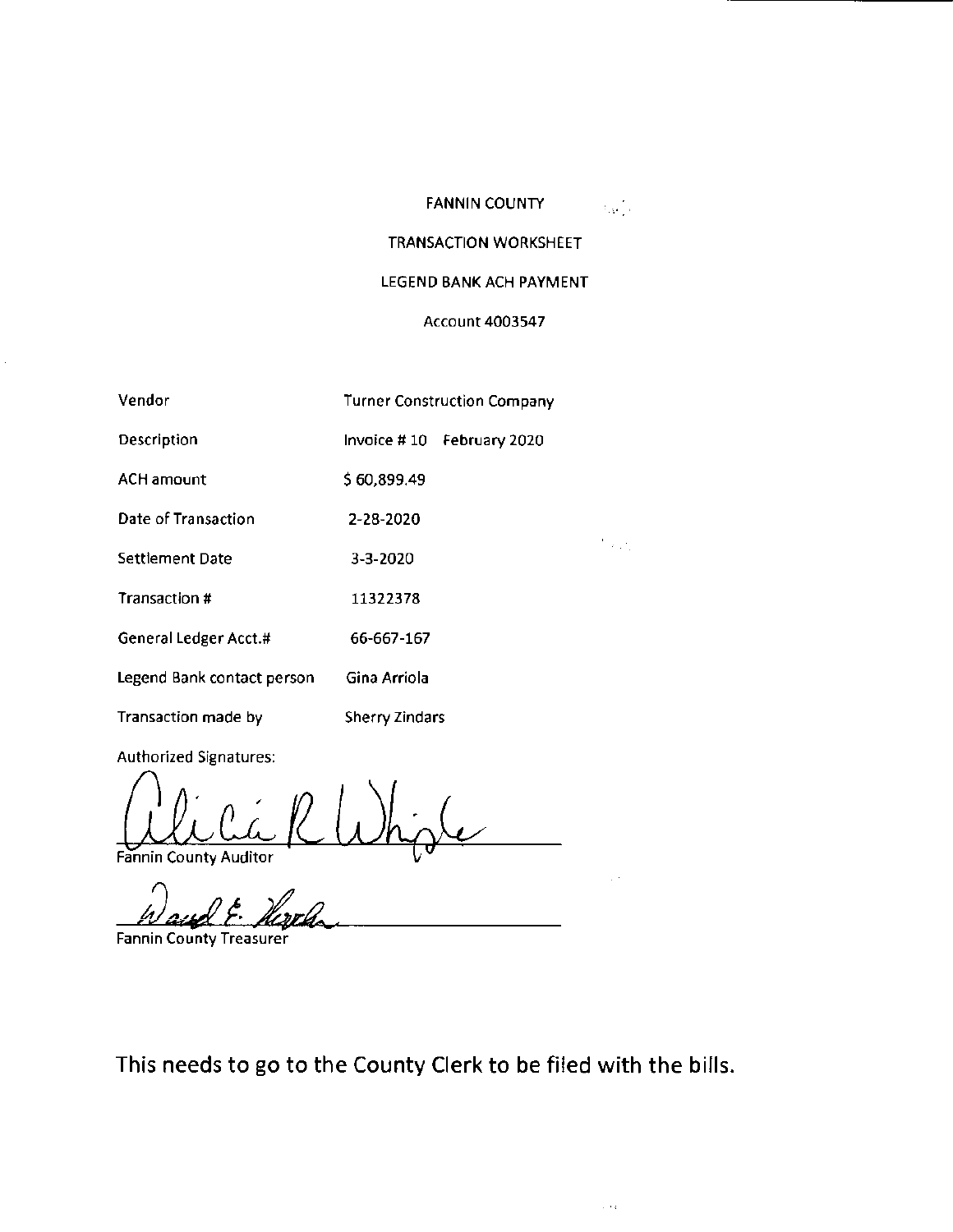## FANNIN COUNTY

 $\chi_{\rm{A}}$  ).

 $\mathcal{F}_{\mathcal{A},\mathcal{A},\mathcal{A}}$ 

 $\sim$   $\sim$ 

# TRANSACTION WORKSHEET

## LEGEND BANK ACH PAYMENT

## Account 4003547

| Vendor                     | <b>Turner Construction Company</b> |
|----------------------------|------------------------------------|
| Description                | Invoice #10 February 2020          |
| <b>ACH amount</b>          | \$60,899.49                        |
| Date of Transaction        | 2-28-2020                          |
| Settlement Date            | 3-3-2020                           |
| <b>Transaction #</b>       | 11322378                           |
| General Ledger Acct.#      | 66-667-167                         |
| Legend Bank contact person | Gina Arriola                       |
| Transaction made by        | Sherry Zindars                     |

Authorized Signatures:

Fannin County Auditor R Whighe

Fannin County Treasurer

This needs to go to the County Clerk to be filed with the bills.